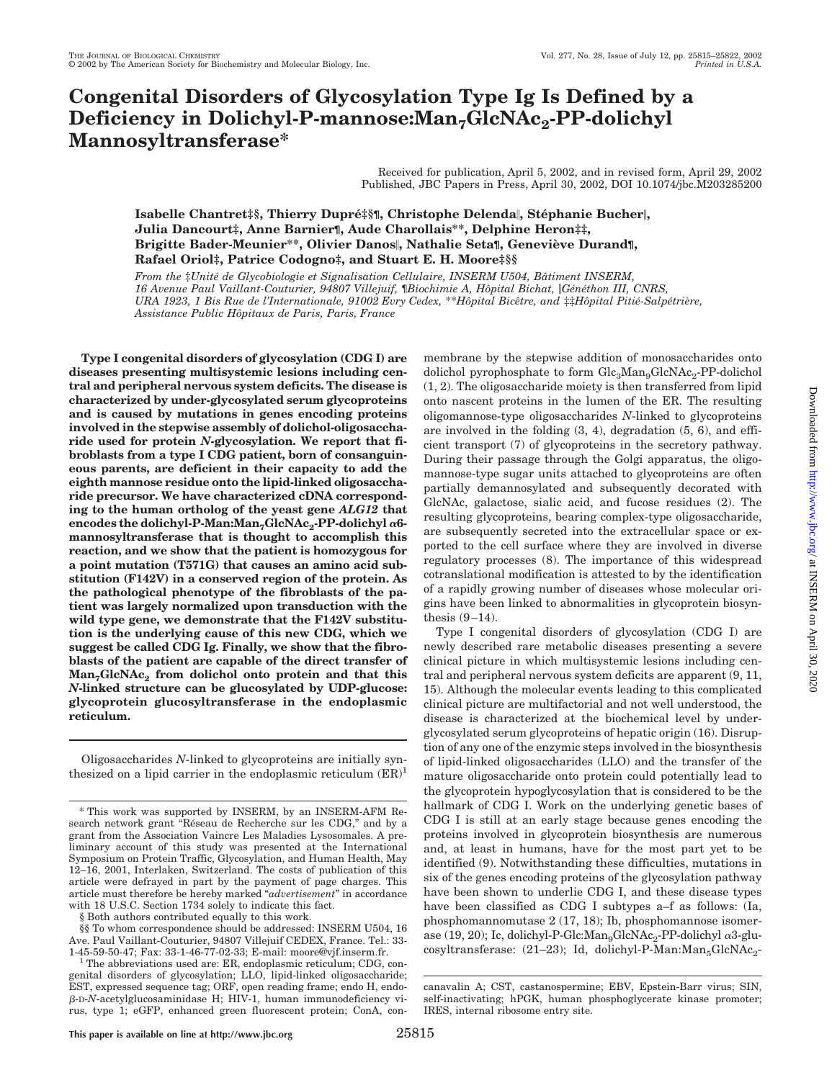# **Congenital Disorders of Glycosylation Type Ig Is Defined by a** Deficiency in Dolichyl-P-mannose:Man<sub>7</sub>GlcNAc<sub>2</sub>-PP-dolichyl **Mannosyltransferase\***

Received for publication, April 5, 2002, and in revised form, April 29, 2002 Published, JBC Papers in Press, April 30, 2002, DOI 10.1074/jbc.M203285200

**Isabelle Chantret‡§, Thierry Dupr釧़¶**, Christophe Delenda||, Stéphanie Bucher||, **Julia Dancourt‡, Anne Barnier¶, Aude Charollais\*\*, Delphine Heron‡‡, Brigitte Bader-Meunier\*\*, Olivier Danos, Nathalie Seta¶, Genevie`ve Durand¶, Rafael Oriol‡, Patrice Codogno‡, and Stuart E. H. Moore‡§§**

*From the* ‡*Unite´ de Glycobiologie et Signalisation Cellulaire, INSERM U504, Baˆtiment INSERM, 16 Avenue Paul Vaillant-Couturier, 94807 Villejuif,* ¶*Biochimie A, Hoˆpital Bichat, Ge´ne´thon III, CNRS, URA 1923, 1 Bis Rue de l'Internationale, 91002 Evry Cedex,* \*\**Hoˆpital Biceˆtre, and* ‡‡*Hoˆpital Pitie´-Salpe´trie`re, Assistance Public Hoˆpitaux de Paris, Paris, France*

**Type I congenital disorders of glycosylation (CDG I) are diseases presenting multisystemic lesions including central and peripheral nervous system deficits. The disease is characterized by under-glycosylated serum glycoproteins and is caused by mutations in genes encoding proteins involved in the stepwise assembly of dolichol-oligosaccharide used for protein** *N***-glycosylation. We report that fibroblasts from a type I CDG patient, born of consanguineous parents, are deficient in their capacity to add the eighth mannose residue onto the lipid-linked oligosaccharide precursor. We have characterized cDNA corresponding to the human ortholog of the yeast gene** *ALG12* **that encodes the dolichyl-P-Man:Man<sub>7</sub>GlcNAc<sub>2</sub>-PP-dolichyl α6mannosyltransferase that is thought to accomplish this reaction, and we show that the patient is homozygous for a point mutation (T571G) that causes an amino acid substitution (F142V) in a conserved region of the protein. As the pathological phenotype of the fibroblasts of the patient was largely normalized upon transduction with the wild type gene, we demonstrate that the F142V substitution is the underlying cause of this new CDG, which we suggest be called CDG Ig. Finally, we show that the fibroblasts of the patient are capable of the direct transfer of**  $\text{Man}_7\text{Glc}$  *Man<sub>7</sub>* GlcNAc<sub>2</sub> from dolichol onto protein and that this *N***-linked structure can be glucosylated by UDP-glucose: glycoprotein glucosyltransferase in the endoplasmic reticulum.**

Oligosaccharides *N*-linked to glycoproteins are initially synthesized on a lipid carrier in the endoplasmic reticulum  $(ER)^1$ 

membrane by the stepwise addition of monosaccharides onto dolichol pyrophosphate to form  $Glc<sub>3</sub>Man<sub>9</sub>GlcNAc<sub>2</sub>-PP-dolichol$ (1, 2). The oligosaccharide moiety is then transferred from lipid onto nascent proteins in the lumen of the ER. The resulting oligomannose-type oligosaccharides *N*-linked to glycoproteins are involved in the folding (3, 4), degradation (5, 6), and efficient transport (7) of glycoproteins in the secretory pathway. During their passage through the Golgi apparatus, the oligomannose-type sugar units attached to glycoproteins are often partially demannosylated and subsequently decorated with GlcNAc, galactose, sialic acid, and fucose residues (2). The resulting glycoproteins, bearing complex-type oligosaccharide, are subsequently secreted into the extracellular space or exported to the cell surface where they are involved in diverse regulatory processes (8). The importance of this widespread cotranslational modification is attested to by the identification of a rapidly growing number of diseases whose molecular origins have been linked to abnormalities in glycoprotein biosynthesis (9–14).

Type I congenital disorders of glycosylation (CDG I) are newly described rare metabolic diseases presenting a severe clinical picture in which multisystemic lesions including central and peripheral nervous system deficits are apparent (9, 11, 15). Although the molecular events leading to this complicated clinical picture are multifactorial and not well understood, the disease is characterized at the biochemical level by underglycosylated serum glycoproteins of hepatic origin (16). Disruption of any one of the enzymic steps involved in the biosynthesis of lipid-linked oligosaccharides (LLO) and the transfer of the mature oligosaccharide onto protein could potentially lead to the glycoprotein hypoglycosylation that is considered to be the hallmark of CDG I. Work on the underlying genetic bases of CDG I is still at an early stage because genes encoding the proteins involved in glycoprotein biosynthesis are numerous and, at least in humans, have for the most part yet to be identified (9). Notwithstanding these difficulties, mutations in six of the genes encoding proteins of the glycosylation pathway have been shown to underlie CDG I, and these disease types have been classified as CDG I subtypes a–f as follows: (Ia, phosphomannomutase 2 (17, 18); Ib, phosphomannose isomerase (19, 20); Ic, dolichyl-P-Glc:Man<sub>9</sub>GlcNAc<sub>2</sub>-PP-dolichyl  $\alpha$ 3-glucosyltransferase:  $(21-23)$ ; Id, dolichyl-P-Man:Man<sub>5</sub>GlcNAc<sub>2</sub>-

<sup>\*</sup> This work was supported by INSERM, by an INSERM-AFM Research network grant "Réseau de Recherche sur les CDG," and by a grant from the Association Vaincre Les Maladies Lysosomales. A preliminary account of this study was presented at the International Symposium on Protein Traffic, Glycosylation, and Human Health, May 12–16, 2001, Interlaken, Switzerland. The costs of publication of this article were defrayed in part by the payment of page charges. This article must therefore be hereby marked "*advertisement*" in accordance with 18 U.S.C. Section 1734 solely to indicate this fact.

<sup>§</sup> Both authors contributed equally to this work.

<sup>§§</sup> To whom correspondence should be addressed: INSERM U504, 16 Ave. Paul Vaillant-Couturier, 94807 Villejuif CEDEX, France. Tel.: 33-

<sup>&</sup>lt;sup>1</sup> The abbreviations used are: ER, endoplasmic reticulum; CDG, congenital disorders of glycosylation; LLO, lipid-linked oligosaccharide; EST, expressed sequence tag; ORF, open reading frame; endo H, endo- --D-*N*-acetylglucosaminidase H; HIV-1, human immunodeficiency virus, type 1; eGFP, enhanced green fluorescent protein; ConA, con-

canavalin A; CST, castanospermine; EBV, Epstein-Barr virus; SIN, self-inactivating; hPGK, human phosphoglycerate kinase promoter; IRES, internal ribosome entry site.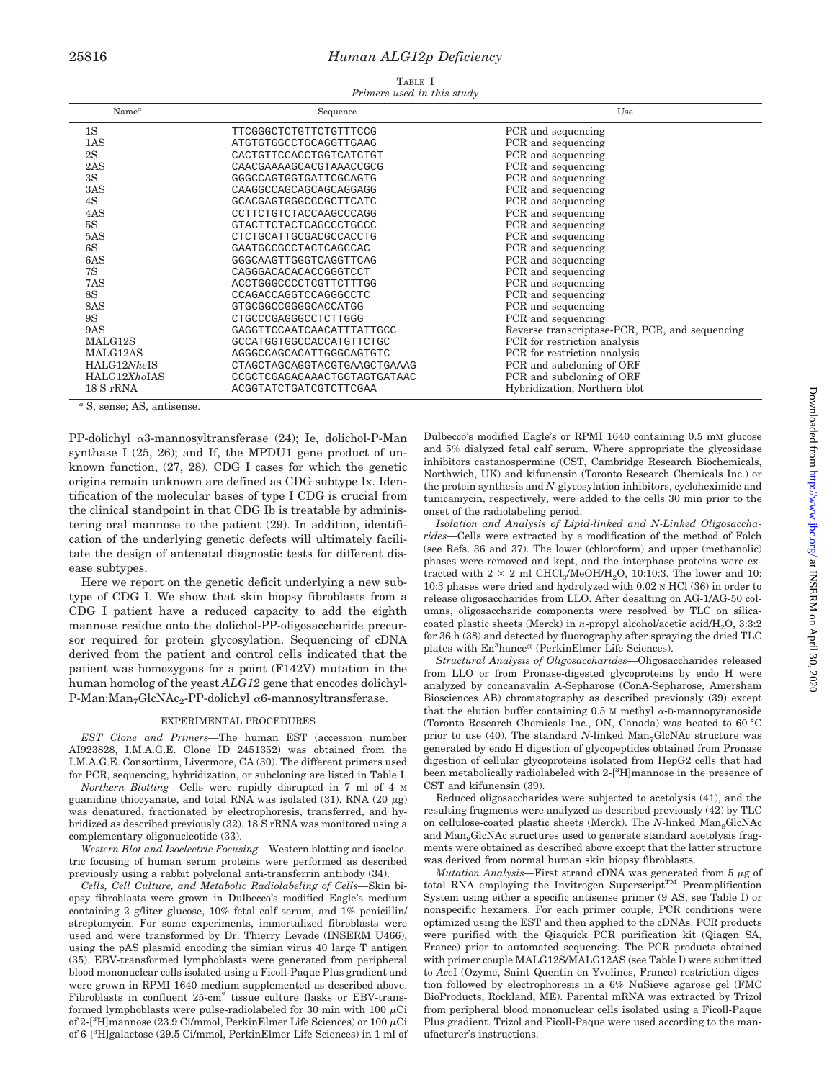## 25816 *Human ALG12p Deficiency*

TABLE I *Primers used in this study*

| $Name^a$     | Sequence                     | Use                                            |
|--------------|------------------------------|------------------------------------------------|
| 1S           | TTCGGGCTCTGTTCTGTTTCCG       | PCR and sequencing                             |
| 1AS          | ATGTGTGCCCTGCAGGTTGAAG       | PCR and sequencing                             |
| 2S           | CACTGTTCCACCTGGTCATCTGT      | PCR and sequencing                             |
| 2AS          | CAACGAAAAGCACGTAAACCGCG      | PCR and sequencing                             |
| 3S           | GGGCCAGTGGTGATTCGCAGTG       | PCR and sequencing                             |
| 3AS          | CAAGGCCAGCAGCAGCAGGAGG       | PCR and sequencing                             |
| 4S           | GCACGAGTGGGCCCGCTTCATC       | PCR and sequencing                             |
| 4AS          | CCTTCTGTCTACCAAGCCCAGG       | PCR and sequencing                             |
| 5S           | GTACTTCTACTCAGCCCTGCCC       | PCR and sequencing                             |
| 5AS          | CTCTGCATTGCGACGCCACCTG       | PCR and sequencing                             |
| 6S           | GAATGCCGCCTACTCAGCCAC        | PCR and sequencing                             |
| 6AS          | GGGCAAGTTGGGTCAGGTTCAG       | PCR and sequencing                             |
| 7S           | CAGGGACACACACCGGGTCCT        | PCR and sequencing                             |
| 7AS          | ACCTGGGCCCCTCGTTCTTTGG       | PCR and sequencing                             |
| <b>8S</b>    | CCAGACCAGGTCCAGGGCCTC        | PCR and sequencing                             |
| 8AS          | GTGCGGCCGGGGCACCATGG         | PCR and sequencing                             |
| <b>9S</b>    | CTGCCCGAGGGCCTCTTGGG         | PCR and sequencing                             |
| 9AS          | GAGGTTCCAATCAACATTTATTGCC    | Reverse transcriptase-PCR, PCR, and sequencing |
| MALG12S      | GCCATGGTGGCCACCATGTTCTGC     | PCR for restriction analysis                   |
| MALG12AS     | AGGGCCAGCACATTGGGCAGTGTC     | PCR for restriction analysis                   |
| HALG12NheIS  | CTAGCTAGCAGGTACGTGAAGCTGAAAG | PCR and subcloning of ORF                      |
| HALG12XhoIAS | CCGCTCGAGAGAAACTGGTAGTGATAAC | PCR and subcloning of ORF                      |
| $18 S$ rRNA  | ACGGTATCTGATCGTCTTCGAA       | Hybridization, Northern blot                   |

*<sup>a</sup>* S, sense; AS, antisense.

PP-dolichyl a3-mannosyltransferase (24); Ie, dolichol-P-Man synthase I (25, 26); and If, the MPDU1 gene product of unknown function, (27, 28). CDG I cases for which the genetic origins remain unknown are defined as CDG subtype Ix. Identification of the molecular bases of type I CDG is crucial from the clinical standpoint in that CDG Ib is treatable by administering oral mannose to the patient (29). In addition, identification of the underlying genetic defects will ultimately facilitate the design of antenatal diagnostic tests for different disease subtypes.

Here we report on the genetic deficit underlying a new subtype of CDG I. We show that skin biopsy fibroblasts from a CDG I patient have a reduced capacity to add the eighth mannose residue onto the dolichol-PP-oligosaccharide precursor required for protein glycosylation. Sequencing of cDNA derived from the patient and control cells indicated that the patient was homozygous for a point (F142V) mutation in the human homolog of the yeast *ALG12* gene that encodes dolichyl-P-Man: Man<sub>7</sub>GlcNAc<sub>2</sub>-PP-dolichyl  $\alpha$ 6-mannosyltransferase.

#### EXPERIMENTAL PROCEDURES

*EST Clone and Primers—*The human EST (accession number AI923828, I.M.A.G.E. Clone ID 2451352) was obtained from the I.M.A.G.E. Consortium, Livermore, CA (30). The different primers used for PCR, sequencing, hybridization, or subcloning are listed in Table I.

*Northern Blotting—*Cells were rapidly disrupted in 7 ml of 4 M guanidine thiocyanate, and total RNA was isolated  $(31)$ . RNA  $(20 \mu g)$ was denatured, fractionated by electrophoresis, transferred, and hybridized as described previously (32). 18 S rRNA was monitored using a complementary oligonucleotide (33).

*Western Blot and Isoelectric Focusing—*Western blotting and isoelectric focusing of human serum proteins were performed as described previously using a rabbit polyclonal anti-transferrin antibody (34).

*Cells, Cell Culture, and Metabolic Radiolabeling of Cells—*Skin biopsy fibroblasts were grown in Dulbecco's modified Eagle's medium containing 2 g/liter glucose, 10% fetal calf serum, and 1% penicillin/ streptomycin. For some experiments, immortalized fibroblasts were used and were transformed by Dr. Thierry Levade (INSERM U466), using the pAS plasmid encoding the simian virus 40 large T antigen (35). EBV-transformed lymphoblasts were generated from peripheral blood mononuclear cells isolated using a Ficoll-Paque Plus gradient and were grown in RPMI 1640 medium supplemented as described above. Fibroblasts in confluent 25-cm<sup>2</sup> tissue culture flasks or EBV-transformed lymphoblasts were pulse-radiolabeled for 30 min with 100  $\mu$ Ci of 2-[<sup>3</sup>H]mannose (23.9 Ci/mmol, PerkinElmer Life Sciences) or 100  $\mu$ Ci of 6-[<sup>3</sup> H]galactose (29.5 Ci/mmol, PerkinElmer Life Sciences) in 1 ml of Dulbecco's modified Eagle's or RPMI 1640 containing 0.5 mM glucose and 5% dialyzed fetal calf serum. Where appropriate the glycosidase inhibitors castanospermine (CST, Cambridge Research Biochemicals, Northwich, UK) and kifunensin (Toronto Research Chemicals Inc.) or the protein synthesis and *N*-glycosylation inhibitors, cycloheximide and tunicamycin, respectively, were added to the cells 30 min prior to the onset of the radiolabeling period.

*Isolation and Analysis of Lipid-linked and N-Linked Oligosaccharides—*Cells were extracted by a modification of the method of Folch (see Refs. 36 and 37). The lower (chloroform) and upper (methanolic) phases were removed and kept, and the interphase proteins were extracted with  $2 \times 2$  ml CHCl<sub>3</sub>/MeOH/H<sub>2</sub>O, 10:10:3. The lower and 10: 10:3 phases were dried and hydrolyzed with 0.02 N HCl (36) in order to release oligosaccharides from LLO. After desalting on AG-1/AG-50 columns, oligosaccharide components were resolved by TLC on silicacoated plastic sheets (Merck) in *n*-propyl alcohol/acetic acid/H<sub>2</sub>O, 3:3:2 for 36 h (38) and detected by fluorography after spraying the dried TLC plates with En<sup>3</sup>hance® (PerkinElmer Life Sciences).

*Structural Analysis of Oligosaccharides—*Oligosaccharides released from LLO or from Pronase-digested glycoproteins by endo H were analyzed by concanavalin A-Sepharose (ConA-Sepharose, Amersham Biosciences AB) chromatography as described previously (39) except that the elution buffer containing 0.5 M methyl  $\alpha$ -D-mannopyranoside (Toronto Research Chemicals Inc., ON, Canada) was heated to 60 °C prior to use (40). The standard *N*-linked Man<sub>7</sub>GlcNAc structure was generated by endo H digestion of glycopeptides obtained from Pronase digestion of cellular glycoproteins isolated from HepG2 cells that had been metabolically radiolabeled with 2-<sup>[3</sup>H]mannose in the presence of CST and kifunensin (39).

Reduced oligosaccharides were subjected to acetolysis (41), and the resulting fragments were analyzed as described previously (42) by TLC on cellulose-coated plastic sheets (Merck). The *N*-linked Man<sub>8</sub>GlcNAc and Man<sub>9</sub>GlcNAc structures used to generate standard acetolysis fragments were obtained as described above except that the latter structure was derived from normal human skin biopsy fibroblasts.

*Mutation Analysis*—First strand cDNA was generated from 5 µg of total RNA employing the Invitrogen Superscript<sup>TM</sup> Preamplification System using either a specific antisense primer (9 AS, see Table I) or nonspecific hexamers. For each primer couple, PCR conditions were optimized using the EST and then applied to the cDNAs. PCR products were purified with the Qiaquick PCR purification kit (Qiagen SA, France) prior to automated sequencing. The PCR products obtained with primer couple MALG12S/MALG12AS (see Table I) were submitted to *Acc*I (Ozyme, Saint Quentin en Yvelines, France) restriction digestion followed by electrophoresis in a 6% NuSieve agarose gel (FMC BioProducts, Rockland, ME). Parental mRNA was extracted by Trizol from peripheral blood mononuclear cells isolated using a Ficoll-Paque Plus gradient. Trizol and Ficoll-Paque were used according to the manufacturer's instructions.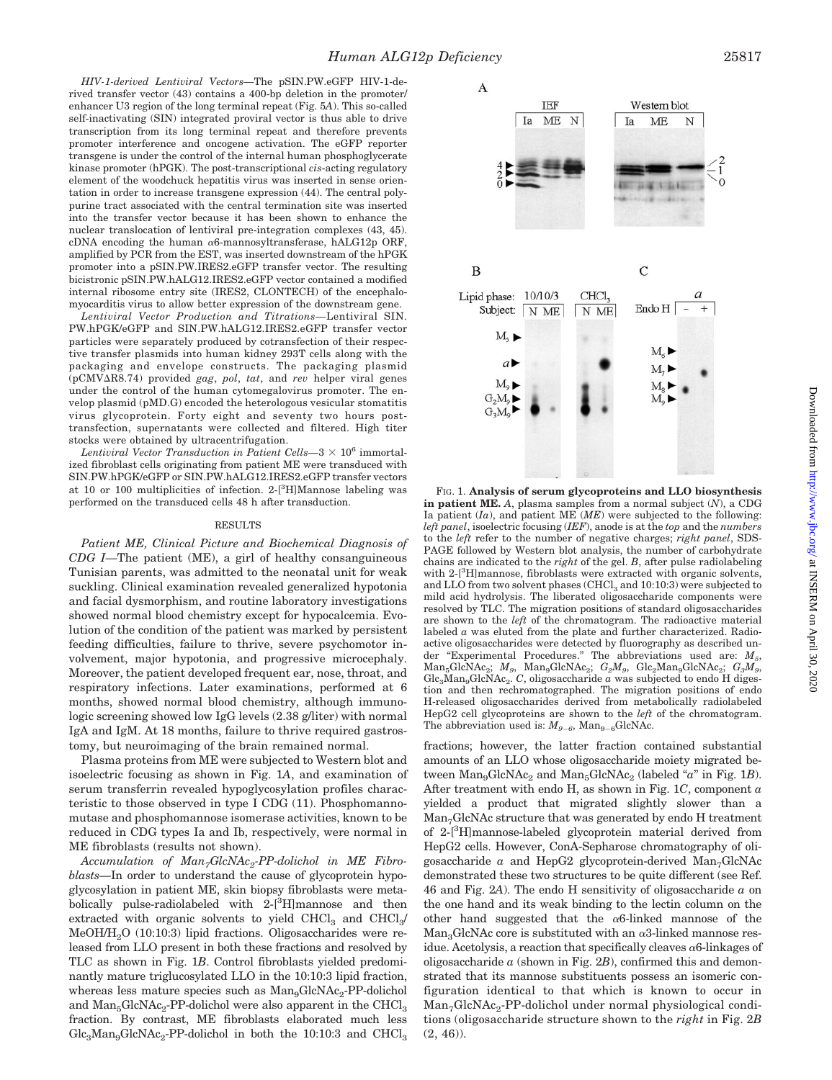*HIV-1-derived Lentiviral Vectors—*The pSIN.PW.eGFP HIV-1-derived transfer vector (43) contains a 400-bp deletion in the promoter/ enhancer U3 region of the long terminal repeat (Fig. 5*A*). This so-called self-inactivating (SIN) integrated proviral vector is thus able to drive transcription from its long terminal repeat and therefore prevents promoter interference and oncogene activation. The eGFP reporter transgene is under the control of the internal human phosphoglycerate kinase promoter (hPGK). The post-transcriptional *cis*-acting regulatory element of the woodchuck hepatitis virus was inserted in sense orientation in order to increase transgene expression (44). The central polypurine tract associated with the central termination site was inserted into the transfer vector because it has been shown to enhance the nuclear translocation of lentiviral pre-integration complexes (43, 45). cDNA encoding the human  $\alpha$ 6-mannosyltransferase, hALG12p ORF, amplified by PCR from the EST, was inserted downstream of the hPGK promoter into a pSIN.PW.IRES2.eGFP transfer vector. The resulting bicistronic pSIN.PW.hALG12.IRES2.eGFP vector contained a modified internal ribosome entry site (IRES2, CLONTECH) of the encephalomyocarditis virus to allow better expression of the downstream gene.

*Lentiviral Vector Production and Titrations—*Lentiviral SIN. PW.hPGK/eGFP and SIN.PW.hALG12.IRES2.eGFP transfer vector particles were separately produced by cotransfection of their respective transfer plasmids into human kidney 293T cells along with the packaging and envelope constructs. The packaging plasmid (pCMV-R8.74) provided *gag*, *pol*, *tat*, and *rev* helper viral genes under the control of the human cytomegalovirus promoter. The envelop plasmid (pMD.G) encoded the heterologous vesicular stomatitis virus glycoprotein. Forty eight and seventy two hours posttransfection, supernatants were collected and filtered. High titer stocks were obtained by ultracentrifugation.

*Lentiviral Vector Transduction in Patient Cells*—3  $\times$  10<sup>6</sup> immortalized fibroblast cells originating from patient ME were transduced with SIN.PW.hPGK/eGFP or SIN.PW.hALG12.IRES2.eGFP transfer vectors at 10 or 100 multiplicities of infection. 2-[3H]Mannose labeling was performed on the transduced cells 48 h after transduction.

#### RESULTS

*Patient ME, Clinical Picture and Biochemical Diagnosis of CDG I—*The patient (ME), a girl of healthy consanguineous Tunisian parents, was admitted to the neonatal unit for weak suckling. Clinical examination revealed generalized hypotonia and facial dysmorphism, and routine laboratory investigations showed normal blood chemistry except for hypocalcemia. Evolution of the condition of the patient was marked by persistent feeding difficulties, failure to thrive, severe psychomotor involvement, major hypotonia, and progressive microcephaly. Moreover, the patient developed frequent ear, nose, throat, and respiratory infections. Later examinations, performed at 6 months, showed normal blood chemistry, although immunologic screening showed low IgG levels (2.38 g/liter) with normal IgA and IgM. At 18 months, failure to thrive required gastrostomy, but neuroimaging of the brain remained normal.

Plasma proteins from ME were subjected to Western blot and isoelectric focusing as shown in Fig. 1*A*, and examination of serum transferrin revealed hypoglycosylation profiles characteristic to those observed in type I CDG (11). Phosphomannomutase and phosphomannose isomerase activities, known to be reduced in CDG types Ia and Ib, respectively, were normal in ME fibroblasts (results not shown).

Accumulation of  $Man_7GlcNAc_2$ -PP-dolichol in ME Fibro*blasts—*In order to understand the cause of glycoprotein hypoglycosylation in patient ME, skin biopsy fibroblasts were metabolically pulse-radiolabeled with 2-[3H]mannose and then extracted with organic solvents to yield  $CHCl<sub>3</sub>$  and  $CHCl<sub>3</sub>/$ MeOH/H<sub>2</sub>O (10:10:3) lipid fractions. Oligosaccharides were released from LLO present in both these fractions and resolved by TLC as shown in Fig. 1*B*. Control fibroblasts yielded predominantly mature triglucosylated LLO in the 10:10:3 lipid fraction, whereas less mature species such as Man<sub>9</sub>GlcNAc<sub>2</sub>-PP-dolichol and  $Man<sub>5</sub>GlcNAc<sub>2</sub>$ -PP-dolichol were also apparent in the CHCl<sub>3</sub> fraction. By contrast, ME fibroblasts elaborated much less  $Glc<sub>3</sub>Man<sub>9</sub>GlcNAc<sub>2</sub>-PP-dolichol$  in both the 10:10:3 and  $CHCl<sub>3</sub>$ 



FIG. 1. **Analysis of serum glycoproteins and LLO biosynthesis in patient ME.** *A*, plasma samples from a normal subject (*N*), a CDG Ia patient  $(Ia)$ , and patient ME  $(ME)$  were subjected to the following: *left panel*, isoelectric focusing (*IEF*), anode is at the *top* and the *numbers* to the *left* refer to the number of negative charges; *right panel*, SDS-PAGE followed by Western blot analysis, the number of carbohydrate chains are indicated to the *right* of the gel. *B*, after pulse radiolabeling with 2-[<sup>3</sup> H]mannose, fibroblasts were extracted with organic solvents, and LLO from two solvent phases  $(CHCl<sub>3</sub>$  and  $10:10:3)$  were subjected to mild acid hydrolysis. The liberated oligosaccharide components were resolved by TLC. The migration positions of standard oligosaccharides are shown to the *left* of the chromatogram. The radioactive material labeled *a* was eluted from the plate and further characterized. Radioactive oligosaccharides were detected by fluorography as described under "Experimental Procedures." The abbreviations used are: *M5*, Man<sub>5</sub>GlcNAc<sub>2</sub>; *M<sub>9</sub>*, Man<sub>9</sub>GlcNAc<sub>2</sub>; *G<sub>2</sub>M<sub>9</sub>*, *Glc*<sub>2</sub>Man<sub>9</sub>GlcNAc<sub>2</sub>; *G<sub>3</sub>M<sub>9</sub>*, Glc<sub>3</sub>Man<sub>9</sub>GlcNAc<sub>2</sub>. *C*, oligosaccharide *a* was subjected to endo H digestion and then rechromatographed. The migration positions of endo H-released oligosaccharides derived from metabolically radiolabeled HepG2 cell glycoproteins are shown to the *left* of the chromatogram. The abbreviation used is:  $M_{9-6}$ , Man<sub>9–6</sub>GlcNAc.

fractions; however, the latter fraction contained substantial amounts of an LLO whose oligosaccharide moiety migrated between Man<sub>9</sub>GlcNAc<sub>2</sub> and Man<sub>5</sub>GlcNAc<sub>2</sub> (labeled "*a*" in Fig. 1*B*). After treatment with endo H, as shown in Fig. 1*C*, component *a* yielded a product that migrated slightly slower than a Man<sub>7</sub>GlcNAc structure that was generated by endo H treatment of 2-[3 H]mannose-labeled glycoprotein material derived from HepG2 cells. However, ConA-Sepharose chromatography of oligosaccharide  $a$  and HepG2 glycoprotein-derived  $Man<sub>7</sub>GlcNAc$ demonstrated these two structures to be quite different (see Ref. 46 and Fig. 2*A*). The endo H sensitivity of oligosaccharide *a* on the one hand and its weak binding to the lectin column on the other hand suggested that the  $\alpha$ 6-linked mannose of the  $Man<sub>3</sub>GlcNAc$  core is substituted with an  $\alpha$ 3-linked mannose residue. Acetolysis, a reaction that specifically cleaves  $\alpha$ 6-linkages of oligosaccharide  $\alpha$  (shown in Fig. 2*B*), confirmed this and demonstrated that its mannose substituents possess an isomeric configuration identical to that which is known to occur in Man<sub>7</sub>GlcNAc<sub>2</sub>-PP-dolichol under normal physiological conditions (oligosaccharide structure shown to the *right* in Fig. 2*B*  $(2, 46)$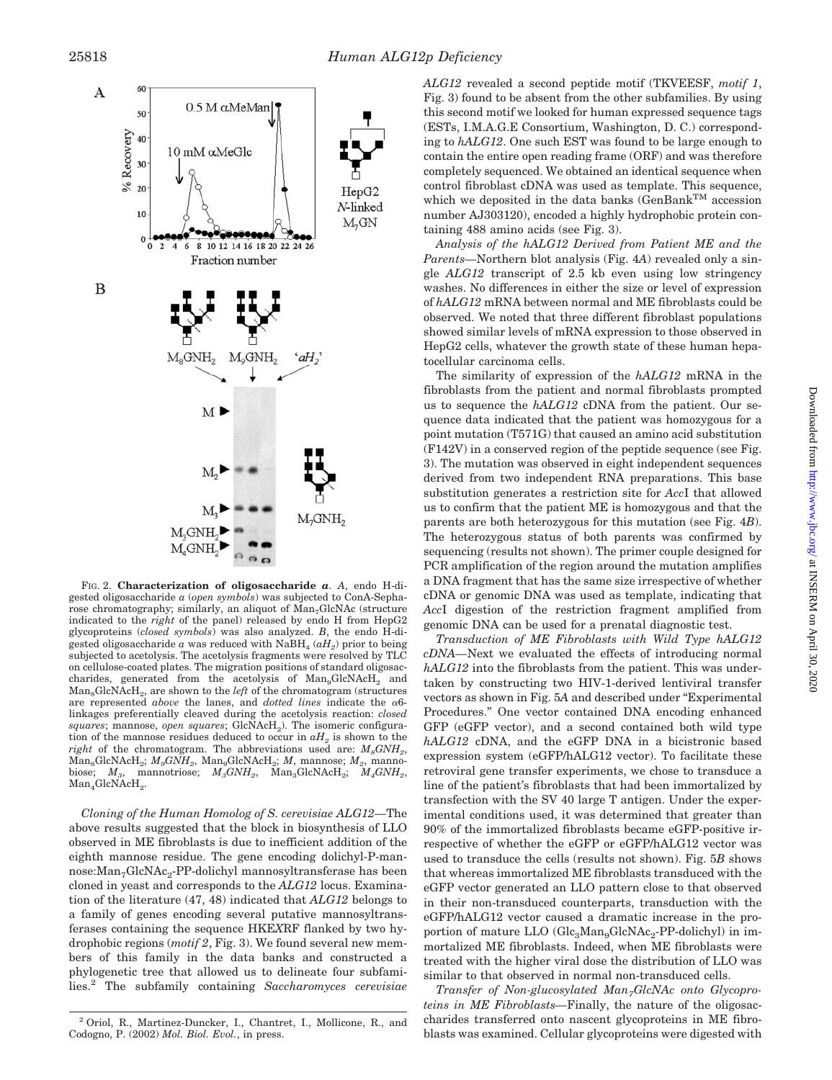

FIG. 2. **Characterization of oligosaccharide** *a*. *A*, endo H-digested oligosaccharide *a* (*open symbols*) was subjected to ConA-Sepharose chromatography; similarly, an aliquot of Man<sub>7</sub>GlcNAc (structure indicated to the *right* of the panel) released by endo H from HepG2 glycoproteins (*closed symbols*) was also analyzed. *B*, the endo H-digested oligosaccharide  $a$  was reduced with NaBH<sub>4</sub>  $(aH<sub>2</sub>)$  prior to being subjected to acetolysis. The acetolysis fragments were resolved by TLC on cellulose-coated plates. The migration positions of standard oligosaccharides, generated from the acetolysis of  $Man_9GlcNAcH_2$  and  $Man_{8}GlcNAcH_{2}$ , are shown to the *left* of the chromatogram (structures are represented *above* the lanes, and *dotted lines* indicate the  $\alpha$ 6linkages preferentially cleaved during the acetolysis reaction: *closed squares*; mannose, *open squares*; GlcNAcH<sub>2</sub>). The isomeric configuration of the mannose residues deduced to occur in  $aH_2$  is shown to the *right* of the chromatogram. The abbreviations used are:  $M_s GNH_s$ , Man<sub>8</sub>GlcNAcH<sub>2</sub>; *M<sub>9</sub>GNH<sub>2</sub>*, Man<sub>9</sub>GlcNAcH<sub>2</sub>; *M*, mannose; *M*<sub>2</sub>, manno-biose; *M*<sub>3</sub>, mannotriose; *M<sub>3</sub>GNH<sub>2</sub>*, Man<sub>3</sub>GlcNAcH<sub>2</sub>; *M<sub>4</sub>GNH<sub>2</sub>*, biose; *M3*, mannotriose; *M3GNH2*, Man3GlcNAcH2; *M4GNH2*, Man<sub>4</sub>GlcNAcH<sub>2</sub>.

*Cloning of the Human Homolog of S. cerevisiae ALG12—*The above results suggested that the block in biosynthesis of LLO observed in ME fibroblasts is due to inefficient addition of the eighth mannose residue. The gene encoding dolichyl-P-mannose:Man<sub>7</sub>GlcNAc<sub>2</sub>-PP-dolichyl mannosyltransferase has been cloned in yeast and corresponds to the *ALG12* locus. Examination of the literature (47, 48) indicated that *ALG12* belongs to a family of genes encoding several putative mannosyltransferases containing the sequence HKE*X*RF flanked by two hydrophobic regions (*motif 2*, Fig. 3). We found several new members of this family in the data banks and constructed a phylogenetic tree that allowed us to delineate four subfamilies.2 The subfamily containing *Saccharomyces cerevisiae* *ALG12* revealed a second peptide motif (TKVEESF, *motif 1*, Fig. 3) found to be absent from the other subfamilies. By using this second motif we looked for human expressed sequence tags (ESTs, I.M.A.G.E Consortium, Washington, D. C.) corresponding to *hALG12*. One such EST was found to be large enough to contain the entire open reading frame (ORF) and was therefore completely sequenced. We obtained an identical sequence when control fibroblast cDNA was used as template. This sequence, which we deposited in the data banks  $(\mathsf{GenBank^{TM}}$  accession number AJ303120), encoded a highly hydrophobic protein containing 488 amino acids (see Fig. 3).

*Analysis of the hALG12 Derived from Patient ME and the Parents—*Northern blot analysis (Fig. 4*A*) revealed only a single *ALG12* transcript of 2.5 kb even using low stringency washes. No differences in either the size or level of expression of *hALG12* mRNA between normal and ME fibroblasts could be observed. We noted that three different fibroblast populations showed similar levels of mRNA expression to those observed in HepG2 cells, whatever the growth state of these human hepatocellular carcinoma cells.

The similarity of expression of the *hALG12* mRNA in the fibroblasts from the patient and normal fibroblasts prompted us to sequence the *hALG12* cDNA from the patient. Our sequence data indicated that the patient was homozygous for a point mutation (T571G) that caused an amino acid substitution (F142V) in a conserved region of the peptide sequence (see Fig. 3). The mutation was observed in eight independent sequences derived from two independent RNA preparations. This base substitution generates a restriction site for *Acc*I that allowed us to confirm that the patient ME is homozygous and that the parents are both heterozygous for this mutation (see Fig. 4*B*). The heterozygous status of both parents was confirmed by sequencing (results not shown). The primer couple designed for PCR amplification of the region around the mutation amplifies a DNA fragment that has the same size irrespective of whether cDNA or genomic DNA was used as template, indicating that *Acc*I digestion of the restriction fragment amplified from genomic DNA can be used for a prenatal diagnostic test.

*Transduction of ME Fibroblasts with Wild Type hALG12 cDNA—*Next we evaluated the effects of introducing normal *hALG12* into the fibroblasts from the patient. This was undertaken by constructing two HIV-1-derived lentiviral transfer vectors as shown in Fig. 5*A* and described under "Experimental Procedures." One vector contained DNA encoding enhanced GFP (eGFP vector), and a second contained both wild type *hALG12* cDNA, and the eGFP DNA in a bicistronic based expression system (eGFP/hALG12 vector). To facilitate these retroviral gene transfer experiments, we chose to transduce a line of the patient's fibroblasts that had been immortalized by transfection with the SV 40 large T antigen. Under the experimental conditions used, it was determined that greater than 90% of the immortalized fibroblasts became eGFP-positive irrespective of whether the eGFP or eGFP/hALG12 vector was used to transduce the cells (results not shown). Fig. 5*B* shows that whereas immortalized ME fibroblasts transduced with the eGFP vector generated an LLO pattern close to that observed in their non-transduced counterparts, transduction with the eGFP/hALG12 vector caused a dramatic increase in the proportion of mature LLO  $(Glc<sub>3</sub>Man<sub>9</sub>GlcNAc<sub>2</sub>-PP-dolichyl)$  in immortalized ME fibroblasts. Indeed, when ME fibroblasts were treated with the higher viral dose the distribution of LLO was similar to that observed in normal non-transduced cells.

*Transfer of Non-glucosylated Man<sub>7</sub>GlcNAc onto Glycoproteins in ME Fibroblasts—*Finally, the nature of the oligosaccharides transferred onto nascent glycoproteins in ME fibroblasts was examined. Cellular glycoproteins were digested with

<sup>2</sup> Oriol, R., Martinez-Duncker, I., Chantret, I., Mollicone, R., and Codogno, P. (2002) *Mol. Biol. Evol.*, in press.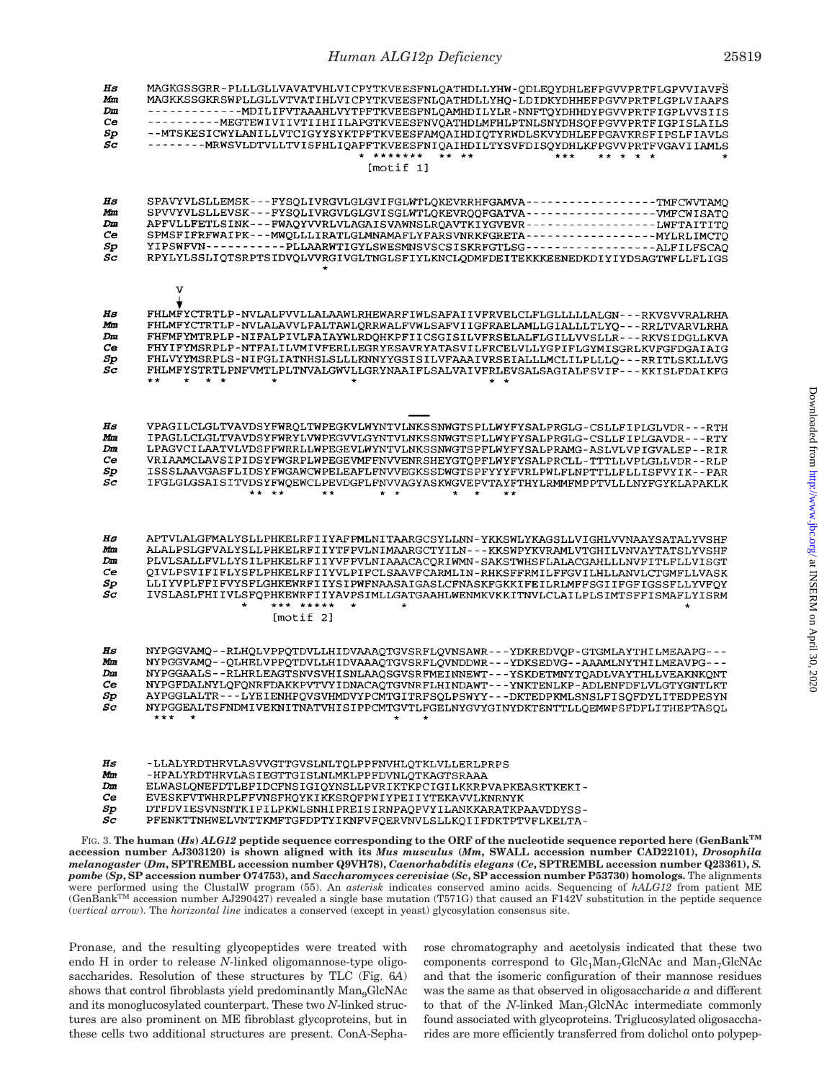### *Human ALG12p Deficiency* 25819

| IIs<br>Мm<br>Dm<br>Ce<br>Sp<br>Sc                      | MAGKGSSGRR-PLLLGLLVAVATVHLVICPYTKVEESFNLQATHDLLYHW-QDLEQYDHLEFPGVVPRTFLGPVVIAVFS<br>MAGKKSSGKRSWPLLGLLVTVATIHLVICPYTKVEESFNLQATHDLLYHQ-LDIDKYDHHEFPGVVPRTFLGPLVIAAFS<br>-------------MDILIFVTAAAHLVYTPFTKVEESFNLQAMHDILYLR-NNFTQYDHHDYPGVVPRTFIGPLVVSIIS<br>-----------MEGTEWIVIIVTIIHIILAPGTKVEESFNVQATHDLMFHLPTNLSNYDHSQFPGVVPRTFIGPISLAILS<br>--MTSKESICWYLANILLVTCIGYYSYKTPFTKVEESFAMQAIHDIQTYRWDLSKVYDHLEFPGAVKRSFIPSLFIAVLS<br>--------MRWSVLDTVLLTVISFHLIQAPFTKVEESFNIQAIHDILTYSVFDISQYDHLKFPGVVPRTFVGAVIIAMLS<br>* *******<br>** **<br>***<br>[motif 1]      |
|--------------------------------------------------------|----------------------------------------------------------------------------------------------------------------------------------------------------------------------------------------------------------------------------------------------------------------------------------------------------------------------------------------------------------------------------------------------------------------------------------------------------------------------------------------------------------------------------------------------------------------------|
|                                                        |                                                                                                                                                                                                                                                                                                                                                                                                                                                                                                                                                                      |
| Hs<br>Мm<br>Dm<br>Сe<br>Sp<br>Sc                       | SPAVYVLSLLEMSK---FYSQLIVRGVLGLGVIFGLWTLQKEVRRHFGAMVA----------------TMFCWVTAMQ<br>SPVVYVLSLLEVSK---FYSQLIVRGVLGLGVISGLWTLQKEVRQQFGATVA------------------WHCWISATQ<br>APFVLLFETLSINK---FWAQYVVRLVLAGAISVAWNSLRQAVTKIYGVEVR-----------------LWFTAITITQ<br>SPMSFIFRFWAIPK---MWQLLLIRATLGLMNAMAFLYFARSVNRKFGRETA------------------MYLRLIMCTQ<br>YIPSWFVN----------PLLAARWTIGYLSWESMNSVSCSISKRFGTLSG----------------ALFILFSCAO<br>RPYLYLSSLIQTSRPTSIDVQLVVRGIVGLTNGLSFIYLKNCLQDMFDEITEKKKEENEDKDIYIYDSAGTWFLLFLIGS                                                        |
|                                                        | v                                                                                                                                                                                                                                                                                                                                                                                                                                                                                                                                                                    |
| Hs<br>Mm<br>Dm<br>Ce<br>Sp<br>Sc                       | FHLMFYCTRTLP-NVLALPVVLLALAAWLRHEWARFIWLSAFAIIVFRVELCLFLGLLLLLALGN---RKVSVVRALRHA<br>FHLMFYCTRTLP-NVLALAVVLPALTAWLQRRWALFVWLSAFVIIGFRAELAMLLGIALLLTLYQ---RRLTVARVLRHA<br>FHFMFYMTRPLP-NIFALPIVLFAIAYWLRDQHKPFIICSGISILVFRSELALFLGILLVVSLLR---RKVSIDGLLKVA<br>FHYIFYMSRPLP-NTFALILVMIVFERLLEGRYESAVRYATASVILFRCELVLLYGPIFLGYMISGRLKVFGFDGAIAIG<br>FHLVYYMSRPLS-NIFGLIATNHSLSLLLKNNYYGSISILVFAAAIVRSEIALLLMCLILPLLLQ---RRITLSKLLLVG<br>FHLMFYSTRTLPNFVMTLPLTNVALGWVLLGRYNAAIFLSALVAIVFRLEVSALSAGIALFSVIF---KKISLFDAIKFG<br>$\star\star$<br>$\star$ $\star$              |
|                                                        |                                                                                                                                                                                                                                                                                                                                                                                                                                                                                                                                                                      |
| Hs<br>Mm<br>Dm<br>Сe<br>Sp<br>Sc                       | VPAGILCLGLTVAVDSYFWRQLTWPEGKVLWYNTVLNKSSNWGTSPLLWYFYSALPRGLG-CSLLFIPLGLVDR---RTH<br>IPAGLLCLGLTVAVDSYFWRYLVWPEGVVLGYNTVLNKSSNWGTSPLLWYFYSALPRGLG-CSLLFIPLGAVDR---RTY<br>LPAGVCILAATVLVDSFFWRRLLWPEGEVLWYNTVLNKSSNWGTSPFLWYFYSALPRAMG-ASLVLVPIGVALEP--RIR<br>VRIAAMCLAVSIPIDSYFWGRPLWPEGEVMFFNVVENRSHEYGTQPFLWYFYSALPRCLL-TTTLLVPLGLLVDR--RLP<br>ISSSLAAVGASFLIDSYFWGAWCWPELEAFLFNVVEGKSSDWGTSPFYYYFVRLPWLFLNPTTLLFLLISFVYIK--PAR<br>IFGLGLGSAISITVDSYFWQEWCLPEVDGFLFNVVAGYASKWGVEPVTAYFTHYLRMMFMPPTVLLLNYFGYKLAPAKLK                                                 |
|                                                        |                                                                                                                                                                                                                                                                                                                                                                                                                                                                                                                                                                      |
| Hs<br>Mm<br>Dm<br>Сe<br>Sp<br>$\mathcal{S}\mathcal{C}$ | APTVLALGFMALYSLLPHKELRFIIYAFPMLNITAARGCSYLLNN-YKKSWLYKAGSLLVIGHLVVNAAYSATALYVSHF<br>ALALPSLGFVALYSLLPHKELRFIIYTFPVLNIMAARGCTYILN---KKSWPYKVRAMLVTGHILVNVAYTATSLYVSHF<br>PLVLSALLFVLLYSILPHKELRFIIYVFPVLNIAAACACORIWMN-SAKSTWHSFLALACGAHLLLNVFITLFLLVISGT<br>QIVLPSVIFIFLYSFLPHKELRFIIYVLPIFCLSAAVFCARMLIN-RHKSFFRMILFFGVILHLLANVLCTGMFLLVASK<br>LLIYVPLFFIFVYSFLGHKEWRFIIYSIPWFNAASAIGASLCFNASKFGKKIFEILRLMFFSGIIFGFIGSSFLLYVFOY<br>IVSLASLFHIIVLSFQPHKEWRFIIYAVPSIMLLGATGAAHLWENMKVKKITNVLCLAILPLSIMTSFFISMAFLYISRM<br>*** *****<br>$\star$<br>$\star$<br>[motif 2] |
|                                                        |                                                                                                                                                                                                                                                                                                                                                                                                                                                                                                                                                                      |
| Hs<br>Mm<br>Dm<br>Сe<br>$_{Sp}$<br>Sc                  | NYPGGVAMQ--RLHQLVPPQTDVLLHIDVAAAQTGVSRFLQVNSAWR---YDKREDVQP-GTGMLAYTHILMEAAPG---<br>NYPGGVAMQ--QLHELVPPQTDVLLHIDVAAAQTGVSRFLQVNDDWR---YDKSEDVG--AAAMLNYTHILMEAVPG---<br>NYPGGAALS--RLHRLEAGTSNVSVHISNLAAQSGVSRFMEINNEWT---YSKDETMNYTQADLVAYTHLLVEAKNKQNT<br>NYPGFDALNYLQFQNRFDAKKPVTVYIDNACAQTGVNRFLHINDAWT---YNKTENLKP-ADLENFDFLVLGTYGNTLKT<br>AYPGGLALTR---LYEIENHPQVSVHMDVYPCMTGITRFSQLPSWYY---DKTEDPKMLSNSLFISQFDYLITEDPESYN<br>NYPGGEALTSFNDMIVEKNITNATVHISIPPCMTGVTLFGELNYGVYGINYDKTENTTLLQEMWPSFDFLITHEPTASQL                                                 |
| Hs<br>Mm<br>Dm<br>Сe                                   | -LLALYRDTHRVLASVVGTTGVSLNLTQLPPFNVHLQTKLVLLERLPRPS<br>-HPALYRDTHRVLASIEGTTGISLNLMKLPPFDVNLQTKAGTSRAAA<br>ELWASLQNEFDTLEFIDCFNSIGIQYNSLLPVRIKTKPCIGILKKRPVAPKEASKTKEKI-<br>EVESKFVTWHRPLFFVNSFHQYKIKKSRQFPWIYPEIIYTEKAVVLKNRNYK                                                                                                                                                                                                                                                                                                                                       |

- $\frac{Sp}{Sc}$ DTFDVIESVNSNTKIPILPKWLSNHIPREISIRNPAQPVYILANKKARATKPAAVDDYSS-
- PFENKTTNHWELVNTTKMFTGFDPTYIKNFVFQERVNVLSLLKQIIFDKTPTVFLKELTA-

FIG. 3. **The human (***Hs***)** *ALG12* **peptide sequence corresponding to the ORF of the nucleotide sequence reported here (GenBankTM accession number AJ303120) is shown aligned with its** *Mus musculus* **(***Mm***, SWALL accession number CAD22101),** *Drosophila melanogaster* **(***Dm***, SPTREMBL accession number Q9VH78),** *Caenorhabditis elegans* **(***Ce***, SPTREMBL accession number Q23361),** *S. pombe* **(***Sp***, SP accession number O74753), and** *Saccharomyces cerevisiae* **(***Sc***, SP accession number P53730) homologs.** The alignments were performed using the ClustalW program (55). An *asterisk* indicates conserved amino acids. Sequencing of *hALG12* from patient ME (GenBank<sup>TM</sup> accession number AJ290427) revealed a single base mutation (T571G) that caused an F142V substitution in the peptide sequence (*vertical arrow*). The *horizontal line* indicates a conserved (except in yeast) glycosylation consensus site.

Pronase, and the resulting glycopeptides were treated with endo H in order to release *N*-linked oligomannose-type oligosaccharides. Resolution of these structures by TLC (Fig. 6*A*) shows that control fibroblasts yield predominantly Man<sub>9</sub>GlcNAc and its monoglucosylated counterpart. These two *N*-linked structures are also prominent on ME fibroblast glycoproteins, but in these cells two additional structures are present. ConA-Sepharose chromatography and acetolysis indicated that these two components correspond to  $Glc<sub>1</sub>Man<sub>7</sub>GlcNAc$  and  $Man<sub>7</sub>GlcNAc$ and that the isomeric configuration of their mannose residues was the same as that observed in oligosaccharide *a* and different to that of the *N*-linked Man<sub>7</sub>GlcNAc intermediate commonly found associated with glycoproteins. Triglucosylated oligosaccharides are more efficiently transferred from dolichol onto polypep-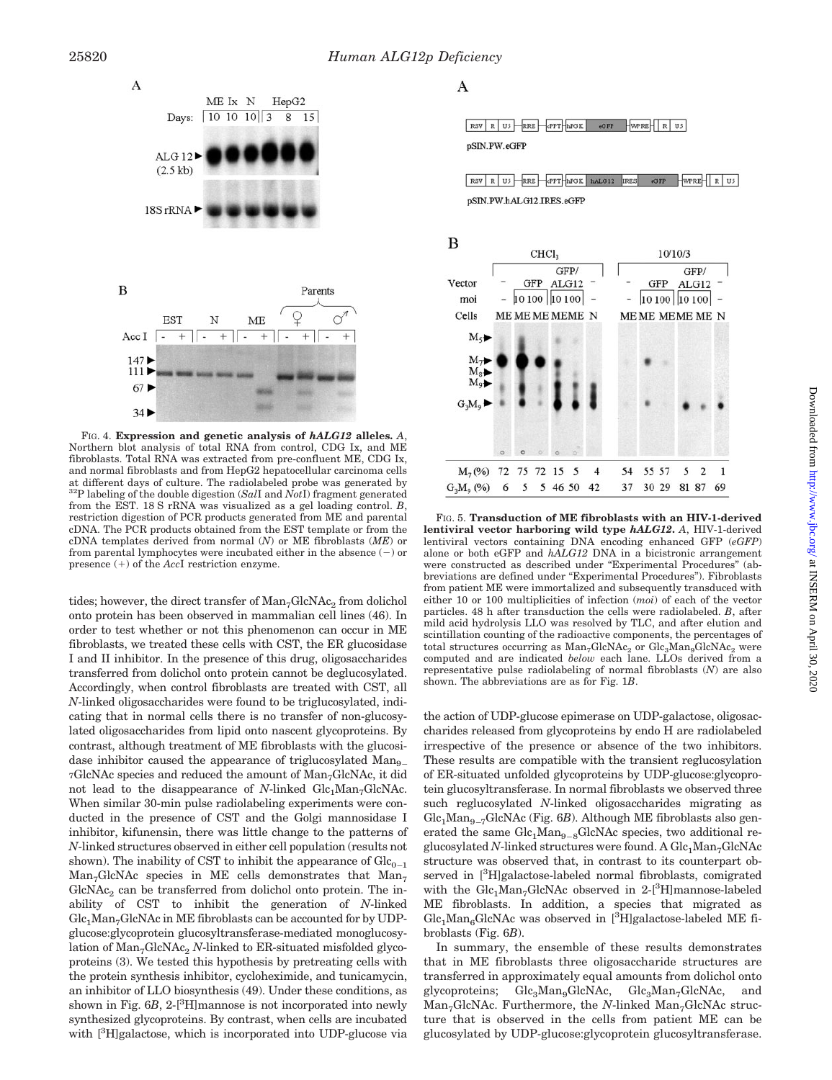

FIG. 4. **Expression and genetic analysis of** *hALG12* **alleles.** *A*, Northern blot analysis of total RNA from control, CDG Ix, and ME fibroblasts. Total RNA was extracted from pre-confluent ME, CDG Ix, and normal fibroblasts and from HepG2 hepatocellular carcinoma cells at different days of culture. The radiolabeled probe was generated by 32P labeling of the double digestion (*Sal*I and *Not*I) fragment generated from the EST. 18 S rRNA was visualized as a gel loading control. *B*, restriction digestion of PCR products generated from ME and parental cDNA. The PCR products obtained from the EST template or from the cDNA templates derived from normal (*N*) or ME fibroblasts (*ME*) or from parental lymphocytes were incubated either in the absence  $(-)$  or presence  $(+)$  of the *AccI* restriction enzyme.

tides; however, the direct transfer of  $Man<sub>7</sub>GlcNAc<sub>2</sub>$  from dolichol onto protein has been observed in mammalian cell lines (46). In order to test whether or not this phenomenon can occur in ME fibroblasts, we treated these cells with CST, the ER glucosidase I and II inhibitor. In the presence of this drug, oligosaccharides transferred from dolichol onto protein cannot be deglucosylated. Accordingly, when control fibroblasts are treated with CST, all *N*-linked oligosaccharides were found to be triglucosylated, indicating that in normal cells there is no transfer of non-glucosylated oligosaccharides from lipid onto nascent glycoproteins. By contrast, although treatment of ME fibroblasts with the glucosidase inhibitor caused the appearance of triglucosylated Man<sub>9</sub> 7GlcNAc species and reduced the amount of Man7GlcNAc, it did not lead to the disappearance of  $N$ -linked  $Glc<sub>1</sub>Man<sub>7</sub>GlcNAc$ . When similar 30-min pulse radiolabeling experiments were conducted in the presence of CST and the Golgi mannosidase I inhibitor, kifunensin, there was little change to the patterns of *N*-linked structures observed in either cell population (results not shown). The inability of CST to inhibit the appearance of  $Glc_{0-1}$  $Man<sub>7</sub>GlcNAc$  species in ME cells demonstrates that  $Man<sub>7</sub>$  $GlcNAc<sub>2</sub>$  can be transferred from dolichol onto protein. The inability of CST to inhibit the generation of *N*-linked  $Glc<sub>1</sub>Man<sub>7</sub>GlcNAc$  in ME fibroblasts can be accounted for by UDPglucose:glycoprotein glucosyltransferase-mediated monoglucosylation of Man<sub>7</sub>GlcNAc<sub>2</sub> *N*-linked to ER-situated misfolded glycoproteins (3). We tested this hypothesis by pretreating cells with the protein synthesis inhibitor, cycloheximide, and tunicamycin, an inhibitor of LLO biosynthesis (49). Under these conditions, as shown in Fig.  $6B$ ,  $2-[{}^{3}H]$ mannose is not incorporated into newly synthesized glycoproteins. By contrast, when cells are incubated with [<sup>3</sup>H]galactose, which is incorporated into UDP-glucose via

A

RSV R US RRE CPT PPOK GFP WPRE R US pSIN.PW.eGFP

RSV R US RRE CPPT APOK AALOI2 IRES COFF WPRE R US pSIN.PW.hALG12.IRES.eGFP



FIG. 5. **Transduction of ME fibroblasts with an HIV-1-derived lentiviral vector harboring wild type** *hALG12***.** *A*, HIV-1-derived lentiviral vectors containing DNA encoding enhanced GFP (*eGFP*) alone or both eGFP and *hALG12* DNA in a bicistronic arrangement were constructed as described under "Experimental Procedures" (abbreviations are defined under "Experimental Procedures"). Fibroblasts from patient ME were immortalized and subsequently transduced with either 10 or 100 multiplicities of infection (*moi*) of each of the vector particles. 48 h after transduction the cells were radiolabeled. *B*, after mild acid hydrolysis LLO was resolved by TLC, and after elution and scintillation counting of the radioactive components, the percentages of total structures occurring as  $Man_{7}GlcNAc_{2}$  or  $Glc_{3}Man_{9}GlcNAc_{2}$  were computed and are indicated *below* each lane. LLOs derived from a representative pulse radiolabeling of normal fibroblasts (*N*) are also shown. The abbreviations are as for Fig. 1*B*.

the action of UDP-glucose epimerase on UDP-galactose, oligosaccharides released from glycoproteins by endo H are radiolabeled irrespective of the presence or absence of the two inhibitors. These results are compatible with the transient reglucosylation of ER-situated unfolded glycoproteins by UDP-glucose:glycoprotein glucosyltransferase. In normal fibroblasts we observed three such reglucosylated *N*-linked oligosaccharides migrating as  $Glc<sub>1</sub>Man<sub>9–7</sub>GlcNAc (Fig. 6B). Although ME fibroblasts also gen$ erated the same  $Glc<sub>1</sub>Man<sub>9–8</sub>GlcNAc species, two additional re$ glucosylated *N*-linked structures were found. A Glc<sub>1</sub>Man<sub>7</sub>GlcNAc structure was observed that, in contrast to its counterpart observed in [<sup>3</sup>H]galactose-labeled normal fibroblasts, comigrated with the  $\text{Glc}_1\text{Man}_7\text{GlcNAc}$  observed in 2-[<sup>3</sup>H]mannose-labeled ME fibroblasts. In addition, a species that migrated as  $\text{Glc}_1\text{Man}_6\text{Glc}\text{NAc}$  was observed in [<sup>3</sup>H]galactose-labeled ME fibroblasts (Fig. 6*B*).

In summary, the ensemble of these results demonstrates that in ME fibroblasts three oligosaccharide structures are transferred in approximately equal amounts from dolichol onto glycoproteins; Glc<sub>3</sub>Man<sub>9</sub>GlcNAc, Glc<sub>3</sub>Man<sub>7</sub>GlcNAc, and Man<sub>7</sub>GlcNAc. Furthermore, the *N*-linked Man<sub>7</sub>GlcNAc structure that is observed in the cells from patient ME can be glucosylated by UDP-glucose:glycoprotein glucosyltransferase.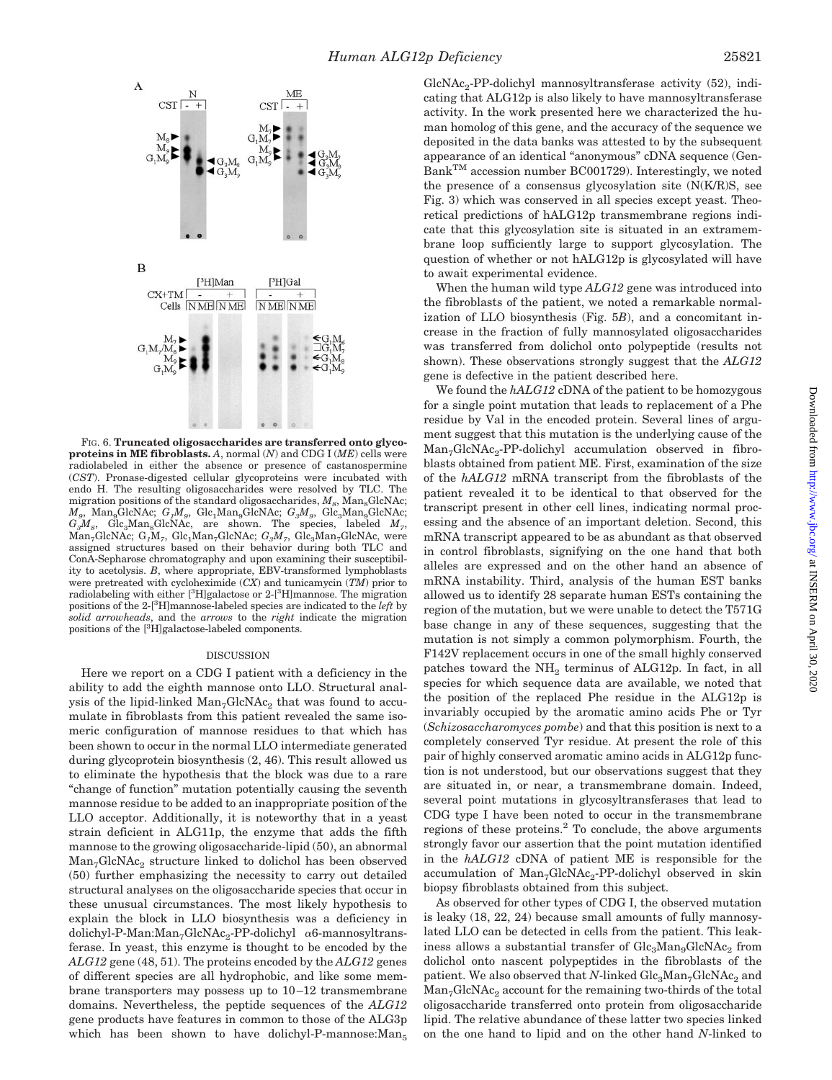

FIG. 6. **Truncated oligosaccharides are transferred onto glycoproteins in ME fibroblasts.** *A*, normal (*N*) and CDG I (*ME*) cells were radiolabeled in either the absence or presence of castanospermine (*CST*). Pronase-digested cellular glycoproteins were incubated with endo H. The resulting oligosaccharides were resolved by TLC. The migration positions of the standard oligosaccharides,  $M_{\circ}$ , Man<sub>e</sub>GlcNAc;  $M_g$ , Man<sub>9</sub>GlcNAc;  $G_1M_g$ , Glc<sub>1</sub>Man<sub>9</sub>GlcNAc;  $G_3M_g$ , Glc<sub>3</sub>Man<sub>9</sub>GlcNAc;  $G_3M_g$ , Glc<sub>3</sub>Man<sub>9</sub>GlcNAc; are shown. The species, labeled  $M_g$ ,  $Glc<sub>3</sub>Man<sub>8</sub>GlcNAc$ , are shown. The species, labeled  $M<sub>7</sub>$ , Man<sub>7</sub>GlcNAc; G<sub>1</sub>M<sub>7</sub>, Glc<sub>1</sub>Man<sub>7</sub>GlcNAc; G<sub>3</sub>M<sub>7</sub>, Glc<sub>3</sub>Man<sub>7</sub>GlcNAc, were assigned structures based on their behavior during both TLC and ConA-Sepharose chromatography and upon examining their susceptibility to acetolysis. *B*, where appropriate, EBV-transformed lymphoblasts were pretreated with cycloheximide (*CX*) and tunicamycin (*TM*) prior to radiolabeling with either [<sup>3</sup>H]galactose or 2-[<sup>3</sup>H]mannose. The migration positions of the 2-[3 H]mannose-labeled species are indicated to the *left* by *solid arrowheads*, and the *arrows* to the *right* indicate the migration positions of the [<sup>3</sup>H]galactose-labeled components.

#### DISCUSSION

Here we report on a CDG I patient with a deficiency in the ability to add the eighth mannose onto LLO. Structural analysis of the lipid-linked  $Man_7GlcNAc_2$  that was found to accumulate in fibroblasts from this patient revealed the same isomeric configuration of mannose residues to that which has been shown to occur in the normal LLO intermediate generated during glycoprotein biosynthesis (2, 46). This result allowed us to eliminate the hypothesis that the block was due to a rare "change of function" mutation potentially causing the seventh mannose residue to be added to an inappropriate position of the LLO acceptor. Additionally, it is noteworthy that in a yeast strain deficient in ALG11p, the enzyme that adds the fifth mannose to the growing oligosaccharide-lipid (50), an abnormal Man<sub>7</sub>GlcNAc<sub>2</sub> structure linked to dolichol has been observed (50) further emphasizing the necessity to carry out detailed structural analyses on the oligosaccharide species that occur in these unusual circumstances. The most likely hypothesis to explain the block in LLO biosynthesis was a deficiency in dolichyl-P-Man:Man<sub>7</sub>GlcNAc<sub>2</sub>-PP-dolichyl  $\alpha$ 6-mannosyltransferase. In yeast, this enzyme is thought to be encoded by the *ALG12* gene (48, 51). The proteins encoded by the *ALG12* genes of different species are all hydrophobic, and like some membrane transporters may possess up to 10–12 transmembrane domains. Nevertheless, the peptide sequences of the *ALG12* gene products have features in common to those of the ALG3p which has been shown to have dolichyl-P-mannose: Man<sub>5</sub>  $GlcNAc<sub>2</sub>-PP-dolichyl$  mannosyltransferase activity (52), indicating that ALG12p is also likely to have mannosyltransferase activity. In the work presented here we characterized the human homolog of this gene, and the accuracy of the sequence we deposited in the data banks was attested to by the subsequent appearance of an identical "anonymous" cDNA sequence (Gen-BankTM accession number BC001729). Interestingly, we noted the presence of a consensus glycosylation site (N(K/R)S, see Fig. 3) which was conserved in all species except yeast. Theoretical predictions of hALG12p transmembrane regions indicate that this glycosylation site is situated in an extramembrane loop sufficiently large to support glycosylation. The question of whether or not hALG12p is glycosylated will have to await experimental evidence.

When the human wild type *ALG12* gene was introduced into the fibroblasts of the patient, we noted a remarkable normalization of LLO biosynthesis (Fig. 5*B*), and a concomitant increase in the fraction of fully mannosylated oligosaccharides was transferred from dolichol onto polypeptide (results not shown). These observations strongly suggest that the *ALG12* gene is defective in the patient described here.

We found the *hALG12* cDNA of the patient to be homozygous for a single point mutation that leads to replacement of a Phe residue by Val in the encoded protein. Several lines of argument suggest that this mutation is the underlying cause of the Man<sub>7</sub>GlcNAc<sub>2</sub>-PP-dolichyl accumulation observed in fibroblasts obtained from patient ME. First, examination of the size of the *hALG12* mRNA transcript from the fibroblasts of the patient revealed it to be identical to that observed for the transcript present in other cell lines, indicating normal processing and the absence of an important deletion. Second, this mRNA transcript appeared to be as abundant as that observed in control fibroblasts, signifying on the one hand that both alleles are expressed and on the other hand an absence of mRNA instability. Third, analysis of the human EST banks allowed us to identify 28 separate human ESTs containing the region of the mutation, but we were unable to detect the T571G base change in any of these sequences, suggesting that the mutation is not simply a common polymorphism. Fourth, the F142V replacement occurs in one of the small highly conserved patches toward the  $NH<sub>2</sub>$  terminus of ALG12p. In fact, in all species for which sequence data are available, we noted that the position of the replaced Phe residue in the ALG12p is invariably occupied by the aromatic amino acids Phe or Tyr (*Schizosaccharomyces pombe*) and that this position is next to a completely conserved Tyr residue. At present the role of this pair of highly conserved aromatic amino acids in ALG12p function is not understood, but our observations suggest that they are situated in, or near, a transmembrane domain. Indeed, several point mutations in glycosyltransferases that lead to CDG type I have been noted to occur in the transmembrane regions of these proteins. $2$  To conclude, the above arguments strongly favor our assertion that the point mutation identified in the *hALG12* cDNA of patient ME is responsible for the accumulation of  $Man<sub>7</sub>GlcNAc<sub>2</sub> - PP-dolichyl observed in skin$ biopsy fibroblasts obtained from this subject.

As observed for other types of CDG I, the observed mutation is leaky (18, 22, 24) because small amounts of fully mannosylated LLO can be detected in cells from the patient. This leakiness allows a substantial transfer of  $Glc<sub>3</sub>Man<sub>9</sub>GlcNAc<sub>2</sub>$  from dolichol onto nascent polypeptides in the fibroblasts of the patient. We also observed that *N*-linked  $\text{Glc}_{3}\text{Man}_{7}\text{GlcNAc}_{2}$  and  $Man<sub>7</sub>GlcNAc<sub>2</sub> account for the remaining two-thirds of the total$ oligosaccharide transferred onto protein from oligosaccharide lipid. The relative abundance of these latter two species linked on the one hand to lipid and on the other hand *N*-linked to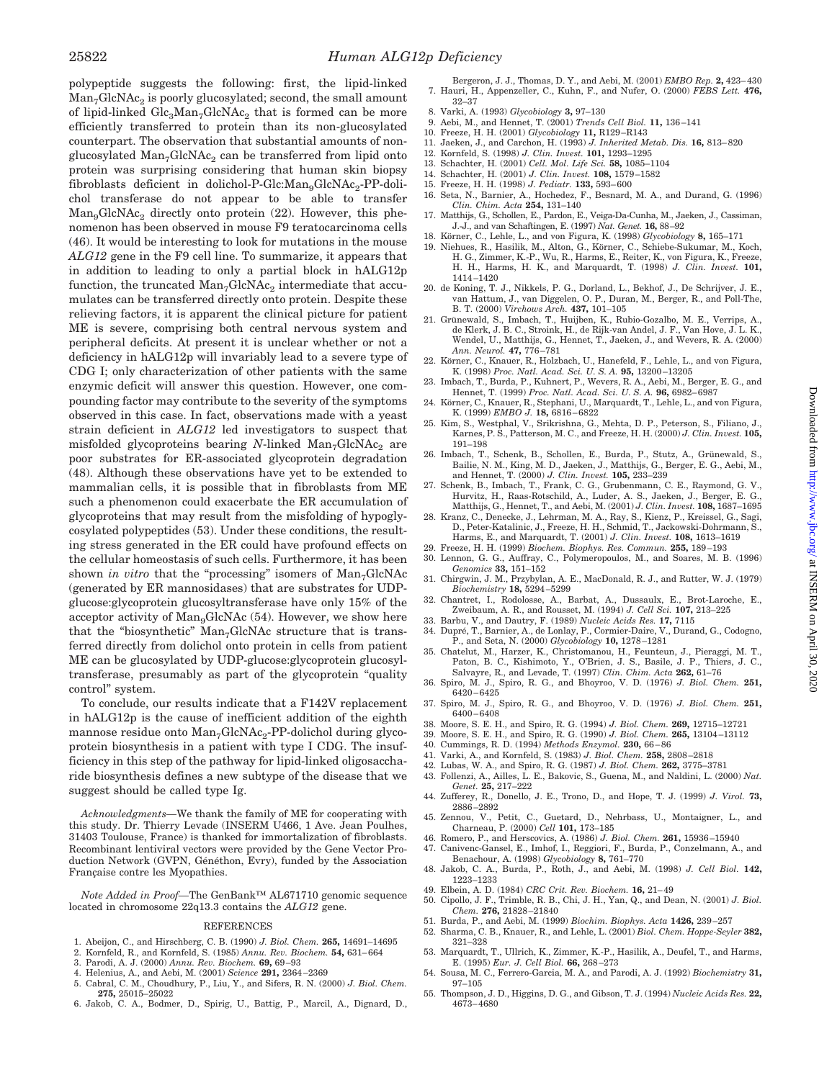polypeptide suggests the following: first, the lipid-linked  $Man_{7}GlcNAc_{2}$  is poorly glucosylated; second, the small amount of lipid-linked  $Glc<sub>3</sub>Man<sub>7</sub>GlcNAc<sub>2</sub> that is formed can be more$ efficiently transferred to protein than its non-glucosylated counterpart. The observation that substantial amounts of nonglucosylated  $Man_{7}GlcNAc_{2}$  can be transferred from lipid onto protein was surprising considering that human skin biopsy fibroblasts deficient in dolichol-P-Glc: $\text{Man}_9\text{GlcNAc}_2$ -PP-dolichol transferase do not appear to be able to transfer  $\text{Man}_9\text{GlcNAc}_2$  directly onto protein (22). However, this phenomenon has been observed in mouse F9 teratocarcinoma cells (46). It would be interesting to look for mutations in the mouse *ALG12* gene in the F9 cell line. To summarize, it appears that in addition to leading to only a partial block in hALG12p function, the truncated  $Man_{7}GlcNAc_{2}$  intermediate that accumulates can be transferred directly onto protein. Despite these relieving factors, it is apparent the clinical picture for patient ME is severe, comprising both central nervous system and peripheral deficits. At present it is unclear whether or not a deficiency in hALG12p will invariably lead to a severe type of CDG I; only characterization of other patients with the same enzymic deficit will answer this question. However, one compounding factor may contribute to the severity of the symptoms observed in this case. In fact, observations made with a yeast strain deficient in *ALG12* led investigators to suspect that misfolded glycoproteins bearing *N*-linked Man<sub>7</sub>GlcNAc<sub>2</sub> are poor substrates for ER-associated glycoprotein degradation (48). Although these observations have yet to be extended to mammalian cells, it is possible that in fibroblasts from ME such a phenomenon could exacerbate the ER accumulation of glycoproteins that may result from the misfolding of hypoglycosylated polypeptides (53). Under these conditions, the resulting stress generated in the ER could have profound effects on the cellular homeostasis of such cells. Furthermore, it has been shown *in vitro* that the "processing" isomers of  $Man<sub>7</sub>GlcNAc$ (generated by ER mannosidases) that are substrates for UDPglucose:glycoprotein glucosyltransferase have only 15% of the acceptor activity of  $\text{Man}_9\text{GlcNAc}$  (54). However, we show here that the "biosynthetic"  $Man<sub>7</sub>GlcNAc$  structure that is transferred directly from dolichol onto protein in cells from patient ME can be glucosylated by UDP-glucose:glycoprotein glucosyltransferase, presumably as part of the glycoprotein "quality control" system.

To conclude, our results indicate that a F142V replacement in hALG12p is the cause of inefficient addition of the eighth mannose residue onto  $Man_{7}GlcNAc_{2}$ -PP-dolichol during glycoprotein biosynthesis in a patient with type I CDG. The insufficiency in this step of the pathway for lipid-linked oligosaccharide biosynthesis defines a new subtype of the disease that we suggest should be called type Ig.

*Acknowledgments—*We thank the family of ME for cooperating with this study. Dr. Thierry Levade (INSERM U466, 1 Ave. Jean Poulhes, 31403 Toulouse, France) is thanked for immortalization of fibroblasts. Recombinant lentiviral vectors were provided by the Gene Vector Production Network (GVPN, Généthon, Evry), funded by the Association Française contre les Myopathies.

*Note Added in Proof—*The GenBank™ AL671710 genomic sequence located in chromosome 22q13.3 contains the *ALG12* gene.

#### REFERENCES

- 1. Abeijon, C., and Hirschberg, C. B. (1990) *J. Biol. Chem.* **265,** 14691–14695
- 2. Kornfeld, R., and Kornfeld, S. (1985) *Annu. Rev. Biochem.* **54,** 631–664
- 3. Parodi, A. J. (2000) *Annu. Rev. Biochem.* **69,** 69–93
- 4. Helenius, A., and Aebi, M. (2001) *Science* **291,** 2364–2369
- 5. Cabral, C. M., Choudhury, P., Liu, Y., and Sifers, R. N. (2000) *J. Biol. Chem.* **275,** 25015–25022
- 6. Jakob, C. A., Bodmer, D., Spirig, U., Battig, P., Marcil, A., Dignard, D.,
- Bergeron, J. J., Thomas, D. Y., and Aebi, M. (2001) *EMBO Rep.* **2,** 423–430 7. Hauri, H., Appenzeller, C., Kuhn, F., and Nufer, O. (2000) *FEBS Lett.* **476,** 32–37
- 8. Varki, A. (1993) *Glycobiology* **3,** 97–130
- 9. Aebi, M., and Hennet, T. (2001) *Trends Cell Biol.* **11,** 136–141
- 10. Freeze, H. H. (2001) *Glycobiology* **11,** R129–R143
- 11. Jaeken, J., and Carchon, H. (1993) *J. Inherited Metab. Dis.* **16,** 813–820
- 12. Kornfeld, S. (1998) *J. Clin. Invest.* **101,** 1293–1295
- 13. Schachter, H. (2001) *Cell. Mol. Life Sci.* **58,** 1085–1104 14. Schachter, H. (2001) *J. Clin. Invest.* **108,** 1579–1582
- 15. Freeze, H. H. (1998) *J. Pediatr.* **133,** 593–600
- 16. Seta, N., Barnier, A., Hochedez, F., Besnard, M. A., and Durand, G. (1996) *Clin. Chim. Acta* **254,** 131–140
- 17. Matthijs, G., Schollen, E., Pardon, E., Veiga-Da-Cunha, M., Jaeken, J., Cassiman, J.-J., and van Schaftingen, E. (1997) *Nat. Genet.* **16,** 88–92
- 18. Ko¨rner, C., Lehle, L., and von Figura, K. (1998) *Glycobiology* **8,** 165–171
- 19. Niehues, R., Hasilik, M., Alton, G., Körner, C., Schiebe-Sukumar, M., Koch, H. G., Zimmer, K.-P., Wu, R., Harms, E., Reiter, K., von Figura, K., Freeze, H. H., Harms, H. K., and Marquardt, T. (1998) *J. Clin. Invest.* **101,** 1414–1420
- 20. de Koning, T. J., Nikkels, P. G., Dorland, L., Bekhof, J., De Schrijver, J. E., van Hattum, J., van Diggelen, O. P., Duran, M., Berger, R., and Poll-The, B. T. (2000) *Virchows Arch.* **437,** 101–105
- 21. Gru¨newald, S., Imbach, T., Huijben, K., Rubio-Gozalbo, M. E., Verrips, A., de Klerk, J. B. C., Stroink, H., de Rijk-van Andel, J. F., Van Hove, J. L. K., Wendel, U., Matthijs, G., Hennet, T., Jaeken, J., and Wevers, R. A. (2000) *Ann. Neurol.* **47,** 776–781
- 22. Körner, C., Knauer, R., Holzbach, U., Hanefeld, F., Lehle, L., and von Figura, K. (1998) *Proc. Natl. Acad. Sci. U. S. A.* **95,** 13200–13205
- 23. Imbach, T., Burda, P., Kuhnert, P., Wevers, R. A., Aebi, M., Berger, E. G., and Hennet, T. (1999) *Proc. Natl. Acad. Sci. U. S. A.* **96,** 6982–6987
- 24. Körner, C., Knauer, R., Stephani, U., Marquardt, T., Lehle, L., and von Figura, K. (1999) *EMBO J.* **18,** 6816–6822
- 25. Kim, S., Westphal, V., Srikrishna, G., Mehta, D. P., Peterson, S., Filiano, J., Karnes, P. S., Patterson, M. C., and Freeze, H. H. (2000) *J. Clin. Invest.* **105,** 191–198
- 26. Imbach, T., Schenk, B., Schollen, E., Burda, P., Stutz, A., Grünewald, S., Bailie, N. M., King, M. D., Jaeken, J., Matthijs, G., Berger, E. G., Aebi, M., and Hennet, T. (2000) *J. Clin. Invest.* **105,** 233–239
- 27. Schenk, B., Imbach, T., Frank, C. G., Grubenmann, C. E., Raymond, G. V., Hurvitz, H., Raas-Rotschild, A., Luder, A. S., Jaeken, J., Berger, E. G., Matthijs, G., Hennet, T., and Aebi, M. (2001) *J. Clin. Invest.* **108,** 1687–1695
- 28. Kranz, C., Denecke, J., Lehrman, M. A., Ray, S., Kienz, P., Kreissel, G., Sagi, D., Peter-Katalinic, J., Freeze, H. H., Schmid, T., Jackowski-Dohrmann, S., Harms, E., and Marquardt, T. (2001) *J. Clin. Invest.* **108,** 1613–1619
- 29. Freeze, H. H. (1999) *Biochem. Biophys. Res. Commun.* **255,** 189–193
- 30. Lennon, G. G., Auffray, C., Polymeropoulos, M., and Soares, M. B. (1996) *Genomics* **33,** 151–152 31. Chirgwin, J. M., Przybylan, A. E., MacDonald, R. J., and Rutter, W. J. (1979)
- *Biochemistry* **18,** 5294–5299
- 32. Chantret, I., Rodolosse, A., Barbat, A., Dussaulx, E., Brot-Laroche, E., Zweibaum, A. R., and Rousset, M. (1994) *J. Cell Sci.* **107,** 213–225
- 33. Barbu, V., and Dautry, F. (1989) *Nucleic Acids Res.* **17,** 7115<br>34. Dupré, T., Barnier, A., de Lonlay, P., Cormier-Daire, V., Durand, G., Codogno,
- P., and Seta, N. (2000) *Glycobiology* **10,** 1278–1281 35. Chatelut, M., Harzer, K., Christomanou, H., Feunteun, J., Pieraggi, M. T.,
- Paton, B. C., Kishimoto, Y., O'Brien, J. S., Basile, J. P., Thiers, J. C., Salvayre, R., and Levade, T. (1997) *Clin. Chim. Acta* **262,** 61–76 36. Spiro, M. J., Spiro, R. G., and Bhoyroo, V. D. (1976) *J. Biol. Chem.* **251,**
- 6420–6425
- 37. Spiro, M. J., Spiro, R. G., and Bhoyroo, V. D. (1976) *J. Biol. Chem.* **251,** 6400–6408
- 38. Moore, S. E. H., and Spiro, R. G. (1994) *J. Biol. Chem.* **269,** 12715–12721
- 39. Moore, S. E. H., and Spiro, R. G. (1990) *J. Biol. Chem.* **265,** 13104–13112
- 40. Cummings, R. D. (1994) *Methods Enzymol.* **230,** 66–86
- 41. Varki, A., and Kornfeld, S. (1983) *J. Biol. Chem.* **258,** 2808–2818
- 42. Lubas, W. A., and Spiro, R. G. (1987) *J. Biol. Chem.* **262,** 3775–3781
- 43. Follenzi, A., Ailles, L. E., Bakovic, S., Guena, M., and Naldini, L. (2000) *Nat. Genet.* **25,** 217–222 44. Zufferey, R., Donello, J. E., Trono, D., and Hope, T. J. (1999) *J. Virol.* **73,**
- 2886–2892 45. Zennou, V., Petit, C., Guetard, D., Nehrbass, U., Montaigner, L., and
- Charneau, P. (2000) *Cell* **101,** 173–185
- 46. Romero, P., and Herscovics, A. (1986) *J. Biol. Chem.* **261,** 15936–15940 47. Canivenc-Gansel, E., Imhof, I., Reggiori, F., Burda, P., Conzelmann, A., and
- Benachour, A. (1998) *Glycobiology* **8,** 761–770 48. Jakob, C. A., Burda, P., Roth, J., and Aebi, M. (1998) *J. Cell Biol.* **142,** 1223–1233
- 49. Elbein, A. D. (1984) *CRC Crit. Rev. Biochem.* **16,** 21–49
- 50. Cipollo, J. F., Trimble, R. B., Chi, J. H., Yan, Q., and Dean, N. (2001) *J. Biol. Chem.* **276,** 21828–21840
- 51. Burda, P., and Aebi, M. (1999) *Biochim. Biophys. Acta* **1426,** 239–257
- 52. Sharma, C. B., Knauer, R., and Lehle, L. (2001) *Biol. Chem. Hoppe-Seyler* **382,** 321–328
- 53. Marquardt, T., Ullrich, K., Zimmer, K.-P., Hasilik, A., Deufel, T., and Harms, E. (1995) *Eur. J. Cell Biol.* **66,** 268–273
- 54. Sousa, M. C., Ferrero-Garcia, M. A., and Parodi, A. J. (1992) *Biochemistry* **31,** 97–105
- 55. Thompson, J. D., Higgins, D. G., and Gibson, T. J. (1994) *Nucleic Acids Res.* **22,** 4673–4680